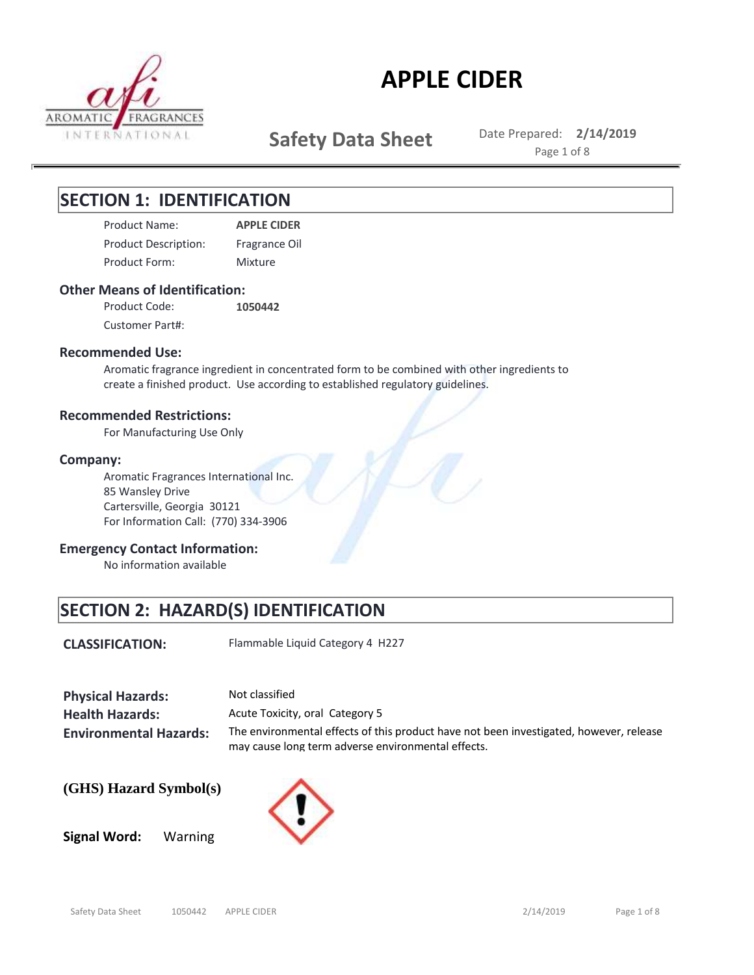

**Safety Data Sheet** Date Prepared: 2/14/2019

Page 1 of 8

## **SECTION 1: IDENTIFICATION**

Product Name: **APPLE CIDER** Product Form: Product Description: Fragrance Oil Mixture

### **Other Means of Identification:**

**1050442** Customer Part#: Product Code:

### **Recommended Use:**

Aromatic fragrance ingredient in concentrated form to be combined with other ingredients to create a finished product. Use according to established regulatory guidelines.

### **Recommended Restrictions:**

For Manufacturing Use Only

### **Company:**

Aromatic Fragrances International Inc. 85 Wansley Drive Cartersville, Georgia 30121 For Information Call: (770) 334-3906

### **Emergency Contact Information:**

No information available

## **SECTION 2: HAZARD(S) IDENTIFICATION**

**CLASSIFICATION:** Flammable Liquid Category 4 H227

| <b>Physical Hazards:</b>      | Not classified                                                                                                                               |
|-------------------------------|----------------------------------------------------------------------------------------------------------------------------------------------|
| <b>Health Hazards:</b>        | Acute Toxicity, oral Category 5                                                                                                              |
| <b>Environmental Hazards:</b> | The environmental effects of this product have not been investigated, however, release<br>may cause long term adverse environmental effects. |

### **(GHS) Hazard Symbol(s)**

**Signal Word:** Warning

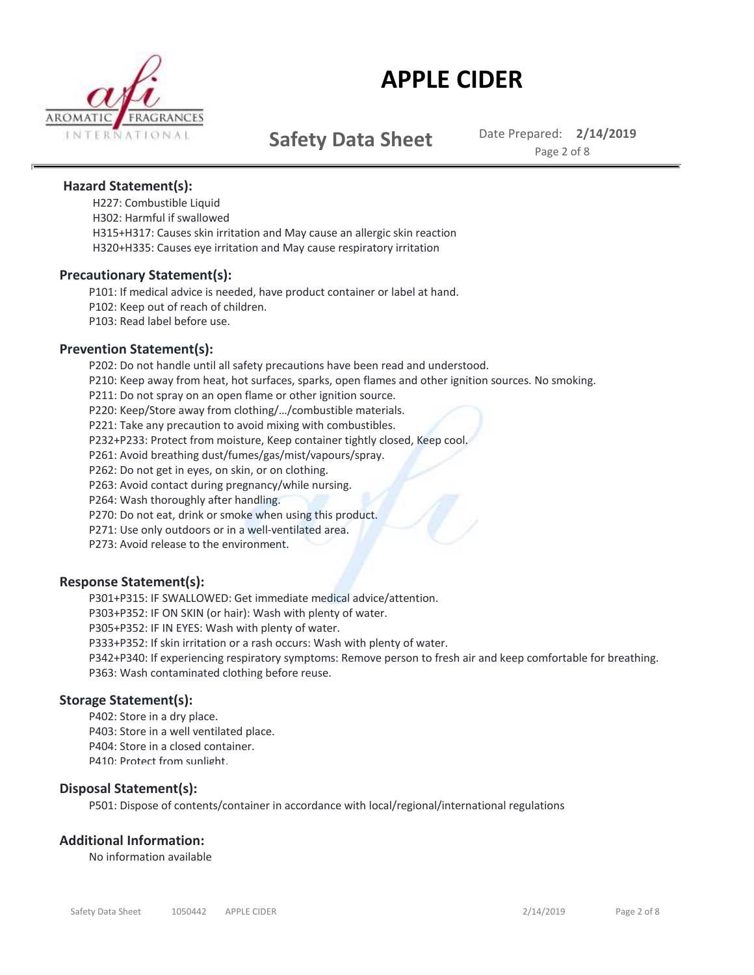

**Safety Data Sheet** Date Prepared: 2/14/2019

Page 2 of 8

### **Hazard Statement(s):**

H227: Combustible Liquid H302: Harmful if swallowed H315+H317: Causes skin irritation and May cause an allergic skin reaction H320+H335: Causes eye irritation and May cause respiratory irritation

### **Precautionary Statement(s):**

P101: If medical advice is needed, have product container or label at hand. P102: Keep out of reach of children. P103: Read label before use.

### **Prevention Statement(s):**

P202: Do not handle until all safety precautions have been read and understood.

P210: Keep away from heat, hot surfaces, sparks, open flames and other ignition sources. No smoking.

P211: Do not spray on an open flame or other ignition source.

P220: Keep/Store away from clothing/…/combustible materials.

P221: Take any precaution to avoid mixing with combustibles.

P232+P233: Protect from moisture, Keep container tightly closed, Keep cool.

P261: Avoid breathing dust/fumes/gas/mist/vapours/spray.

P262: Do not get in eyes, on skin, or on clothing.

P263: Avoid contact during pregnancy/while nursing.

P264: Wash thoroughly after handling.

P270: Do not eat, drink or smoke when using this product.

P271: Use only outdoors or in a well-ventilated area.

P273: Avoid release to the environment.

### **Response Statement(s):**

P301+P315: IF SWALLOWED: Get immediate medical advice/attention.

P303+P352: IF ON SKIN (or hair): Wash with plenty of water.

P305+P352: IF IN EYES: Wash with plenty of water.

P333+P352: If skin irritation or a rash occurs: Wash with plenty of water.

P342+P340: If experiencing respiratory symptoms: Remove person to fresh air and keep comfortable for breathing. P363: Wash contaminated clothing before reuse.

### **Storage Statement(s):**

P402: Store in a dry place. P403: Store in a well ventilated place. P404: Store in a closed container. P410: Protect from sunlight.

### **Disposal Statement(s):**

P501: Dispose of contents/container in accordance with local/regional/international regulations

### **Additional Information:**

No information available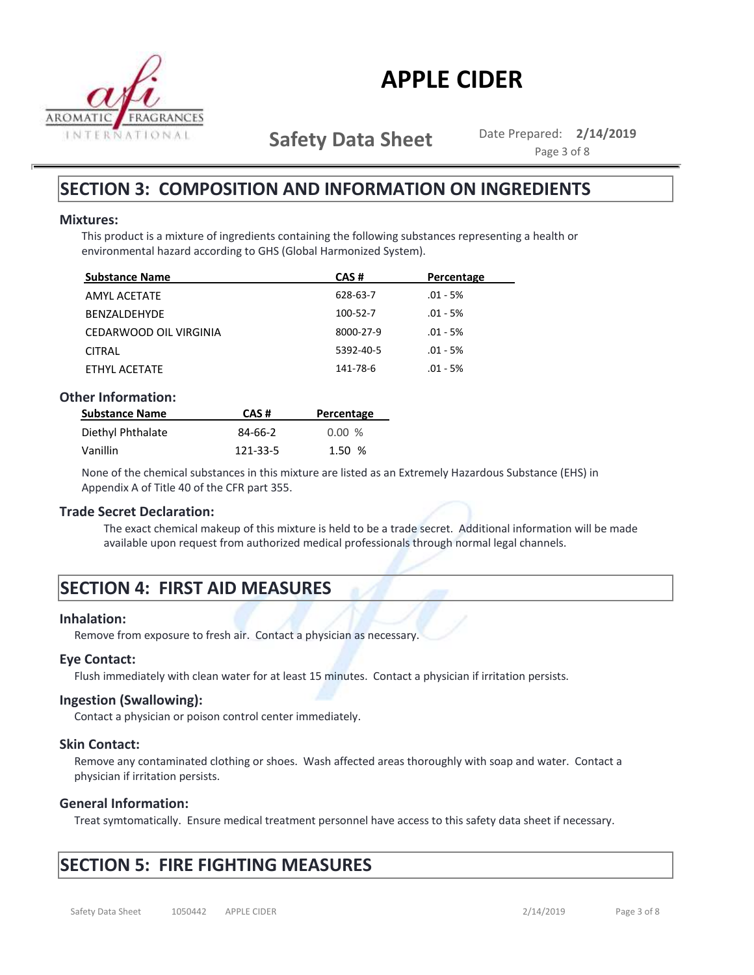

**Safety Data Sheet** Date Prepared: 2/14/2019

Page 3 of 8

### **SECTION 3: COMPOSITION AND INFORMATION ON INGREDIENTS**

### **Mixtures:**

This product is a mixture of ingredients containing the following substances representing a health or environmental hazard according to GHS (Global Harmonized System).

| <b>Substance Name</b>  | CAS#      | Percentage |
|------------------------|-----------|------------|
| AMYL ACETATE           | 628-63-7  | $.01 - 5%$ |
| <b>BENZALDEHYDE</b>    | 100-52-7  | $.01 - 5%$ |
| CEDARWOOD OIL VIRGINIA | 8000-27-9 | $.01 - 5%$ |
| <b>CITRAL</b>          | 5392-40-5 | $.01 - 5%$ |
| ETHYL ACETATE          | 141-78-6  | $.01 - 5%$ |

### **Other Information:**

| <b>Substance Name</b> | CAS#     | Percentage |
|-----------------------|----------|------------|
| Diethyl Phthalate     | 84-66-2  | $0.00\%$   |
| Vanillin              | 121-33-5 | 1.50%      |

None of the chemical substances in this mixture are listed as an Extremely Hazardous Substance (EHS) in Appendix A of Title 40 of the CFR part 355.

### **Trade Secret Declaration:**

The exact chemical makeup of this mixture is held to be a trade secret. Additional information will be made available upon request from authorized medical professionals through normal legal channels.

## **SECTION 4: FIRST AID MEASURES**

### **Inhalation:**

Remove from exposure to fresh air. Contact a physician as necessary.

### **Eye Contact:**

Flush immediately with clean water for at least 15 minutes. Contact a physician if irritation persists.

### **Ingestion (Swallowing):**

Contact a physician or poison control center immediately.

### **Skin Contact:**

Remove any contaminated clothing or shoes. Wash affected areas thoroughly with soap and water. Contact a physician if irritation persists.

### **General Information:**

Treat symtomatically. Ensure medical treatment personnel have access to this safety data sheet if necessary.

## **SECTION 5: FIRE FIGHTING MEASURES**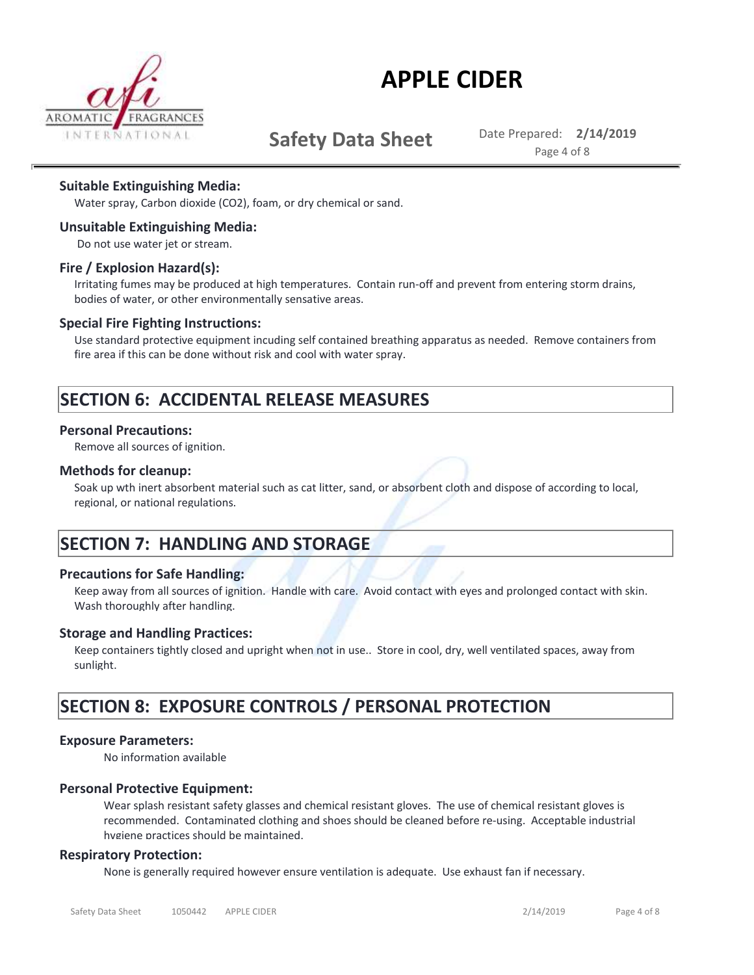

## **Safety Data Sheet** Date Prepared: 2/14/2019

Page 4 of 8

### **Suitable Extinguishing Media:**

Water spray, Carbon dioxide (CO2), foam, or dry chemical or sand.

### **Unsuitable Extinguishing Media:**

Do not use water jet or stream.

### **Fire / Explosion Hazard(s):**

Irritating fumes may be produced at high temperatures. Contain run-off and prevent from entering storm drains, bodies of water, or other environmentally sensative areas.

#### **Special Fire Fighting Instructions:**

Use standard protective equipment incuding self contained breathing apparatus as needed. Remove containers from fire area if this can be done without risk and cool with water spray.

### **SECTION 6: ACCIDENTAL RELEASE MEASURES**

#### **Personal Precautions:**

Remove all sources of ignition.

#### **Methods for cleanup:**

Soak up wth inert absorbent material such as cat litter, sand, or absorbent cloth and dispose of according to local, regional, or national regulations.

### **SECTION 7: HANDLING AND STORAGE**

### **Precautions for Safe Handling:**

Keep away from all sources of ignition. Handle with care. Avoid contact with eyes and prolonged contact with skin. Wash thoroughly after handling.

#### **Storage and Handling Practices:**

Keep containers tightly closed and upright when not in use.. Store in cool, dry, well ventilated spaces, away from sunlight.

### **SECTION 8: EXPOSURE CONTROLS / PERSONAL PROTECTION**

#### **Exposure Parameters:**

No information available

### **Personal Protective Equipment:**

Wear splash resistant safety glasses and chemical resistant gloves. The use of chemical resistant gloves is recommended. Contaminated clothing and shoes should be cleaned before re-using. Acceptable industrial hygiene practices should be maintained.

#### **Respiratory Protection:**

None is generally required however ensure ventilation is adequate. Use exhaust fan if necessary.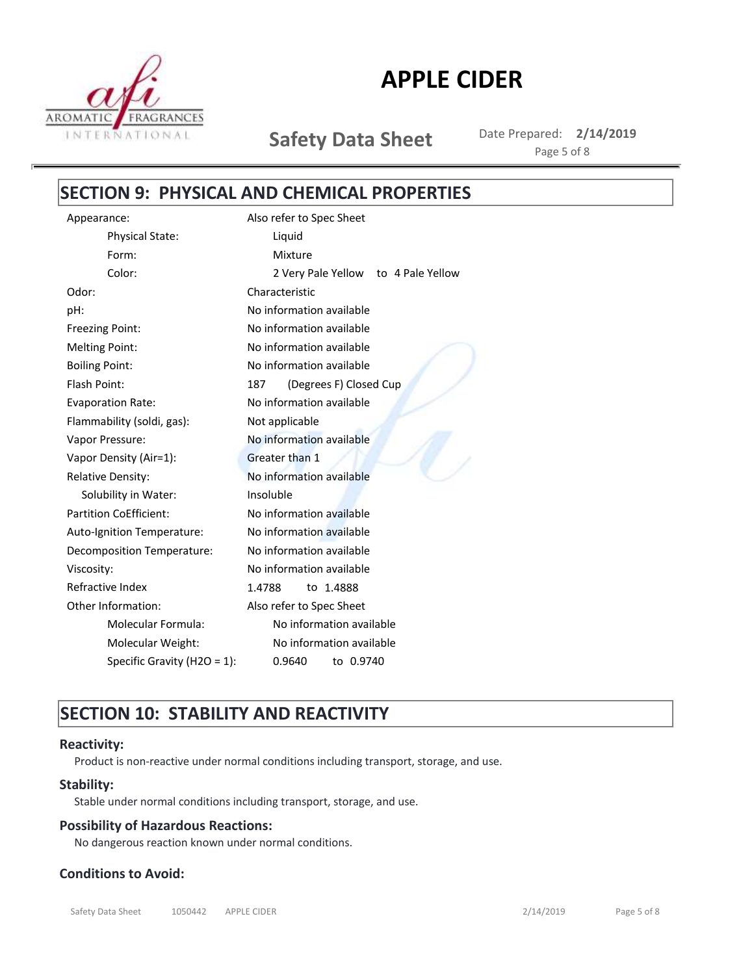

**Safety Data Sheet** Date Prepared: 2/14/2019 Page 5 of 8

## **SECTION 9: PHYSICAL AND CHEMICAL PROPERTIES**

| Liquid                              |  |  |  |
|-------------------------------------|--|--|--|
|                                     |  |  |  |
| Mixture                             |  |  |  |
| 2 Very Pale Yellow to 4 Pale Yellow |  |  |  |
| Characteristic                      |  |  |  |
| No information available            |  |  |  |
| No information available            |  |  |  |
| No information available            |  |  |  |
| No information available            |  |  |  |
| (Degrees F) Closed Cup<br>187       |  |  |  |
| No information available            |  |  |  |
| Not applicable                      |  |  |  |
| No information available            |  |  |  |
| Greater than 1                      |  |  |  |
| No information available            |  |  |  |
| Insoluble                           |  |  |  |
| No information available            |  |  |  |
| No information available            |  |  |  |
| No information available            |  |  |  |
| No information available            |  |  |  |
| 1.4788<br>to 1.4888                 |  |  |  |
| Also refer to Spec Sheet            |  |  |  |
| No information available            |  |  |  |
| No information available            |  |  |  |
| to 0.9740<br>0.9640                 |  |  |  |
|                                     |  |  |  |

## **SECTION 10: STABILITY AND REACTIVITY**

### **Reactivity:**

Product is non-reactive under normal conditions including transport, storage, and use.

### **Stability:**

Stable under normal conditions including transport, storage, and use.

### **Possibility of Hazardous Reactions:**

No dangerous reaction known under normal conditions.

### **Conditions to Avoid:**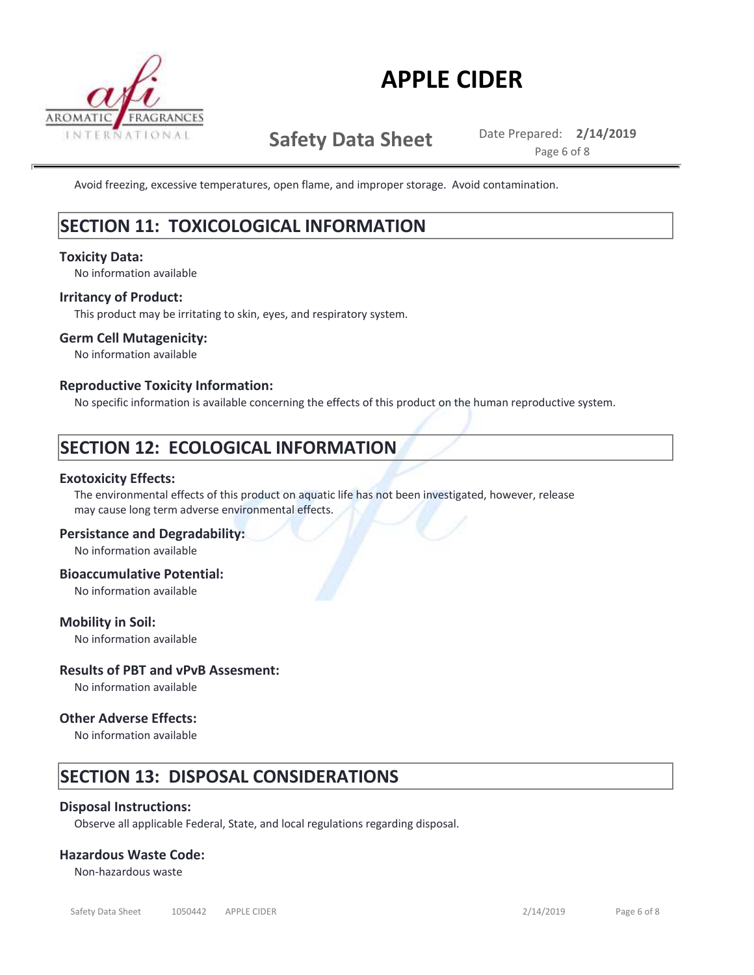

**Conditions to Avoid:**

# **APPLE CIDER**

**Safety Data Sheet** Date Prepared: 2/14/2019

Page 6 of 8

Avoid freezing, excessive temperatures, open flame, and improper storage. Avoid contamination.

## **SECTION 11: TOXICOLOGICAL INFORMATION**

### **Toxicity Data:**

No information available

### **Irritancy of Product:**

This product may be irritating to skin, eyes, and respiratory system.

### **Germ Cell Mutagenicity:**

No information available

### **Reproductive Toxicity Information:**

No specific information is available concerning the effects of this product on the human reproductive system.

## **SECTION 12: ECOLOGICAL INFORMATION**

### **Exotoxicity Effects:**

The environmental effects of this product on aquatic life has not been investigated, however, release may cause long term adverse environmental effects.

### **Persistance and Degradability:**

No information available

### **Bioaccumulative Potential:**

No information available

### **Mobility in Soil:**

No information available

### **Results of PBT and vPvB Assesment:**

No information available

### **Other Adverse Effects:**

No information available

## **SECTION 13: DISPOSAL CONSIDERATIONS**

### **Disposal Instructions:**

Observe all applicable Federal, State, and local regulations regarding disposal.

### **Hazardous Waste Code:**

Non-hazardous waste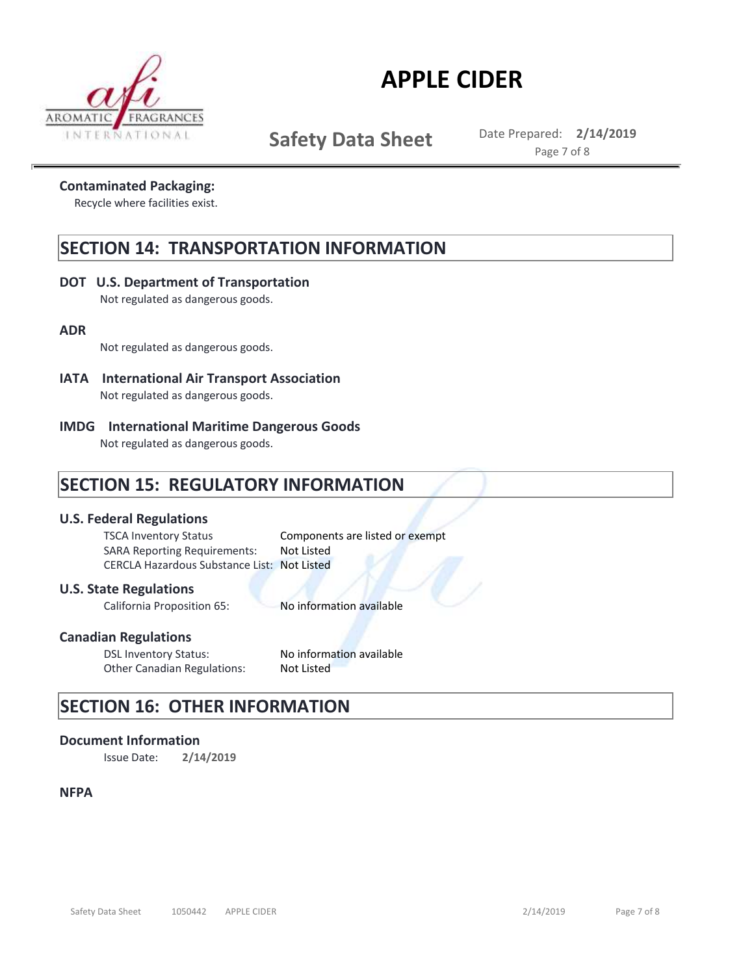

**Safety Data Sheet** Date Prepared: 2/14/2019

Page 7 of 8

### **Contaminated Packaging:**

Recycle where facilities exist.

### **SECTION 14: TRANSPORTATION INFORMATION**

### **DOT U.S. Department of Transportation**

Not regulated as dangerous goods.

### **ADR**

Not regulated as dangerous goods.

- **IATA International Air Transport Association**  Not regulated as dangerous goods.
- **IMDG International Maritime Dangerous Goods**

Not regulated as dangerous goods.

## **SECTION 15: REGULATORY INFORMATION**

### **U.S. Federal Regulations**

CERCLA Hazardous Substance List: Not Listed SARA Reporting Requirements: Not Listed TSCA Inventory Status Components are listed or exempt

### **U.S. State Regulations**

California Proposition 65: No information available

### **Canadian Regulations**

DSL Inventory Status: No information available<br>Other Canadian Regulations: Not Listed Other Canadian Regulations:

## **SECTION 16: OTHER INFORMATION**

### **Document Information**

Issue Date: **2/14/2019**

### **NFPA**